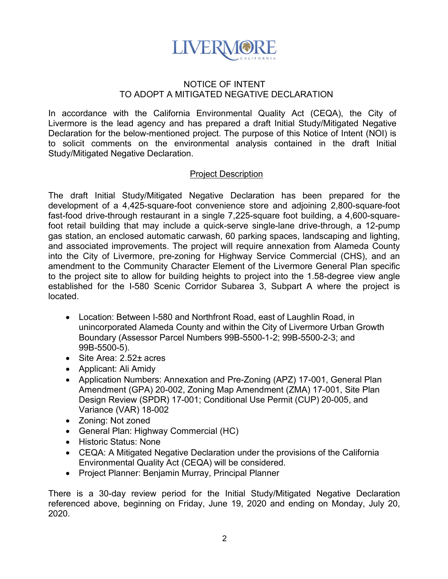

## NOTICE OF INTENT TO ADOPT A MITIGATED NEGATIVE DECLARATION

In accordance with the California Environmental Quality Act (CEQA), the City of Livermore is the lead agency and has prepared a draft Initial Study/Mitigated Negative Declaration for the below-mentioned project. The purpose of this Notice of Intent (NOI) is to solicit comments on the environmental analysis contained in the draft Initial Study/Mitigated Negative Declaration.

## Project Description

The draft Initial Study/Mitigated Negative Declaration has been prepared for the development of a 4,425-square-foot convenience store and adjoining 2,800-square-foot fast-food drive-through restaurant in a single 7,225-square foot building, a 4,600-squarefoot retail building that may include a quick-serve single-lane drive-through, a 12-pump gas station, an enclosed automatic carwash, 60 parking spaces, landscaping and lighting, and associated improvements. The project will require annexation from Alameda County into the City of Livermore, pre-zoning for Highway Service Commercial (CHS), and an amendment to the Community Character Element of the Livermore General Plan specific to the project site to allow for building heights to project into the 1.58-degree view angle established for the I-580 Scenic Corridor Subarea 3, Subpart A where the project is located.

- Location: Between I-580 and Northfront Road, east of Laughlin Road, in unincorporated Alameda County and within the City of Livermore Urban Growth Boundary (Assessor Parcel Numbers 99B-5500-1-2; 99B-5500-2-3; and 99B-5500-5).
- Site Area: 2.52± acres
- Applicant: Ali Amidy
- Application Numbers: Annexation and Pre-Zoning (APZ) 17-001, General Plan Amendment (GPA) 20-002, Zoning Map Amendment (ZMA) 17-001, Site Plan Design Review (SPDR) 17-001; Conditional Use Permit (CUP) 20-005, and Variance (VAR) 18-002
- Zoning: Not zoned
- General Plan: Highway Commercial (HC)
- Historic Status: None
- CEQA: A Mitigated Negative Declaration under the provisions of the California Environmental Quality Act (CEQA) will be considered.
- Project Planner: Benjamin Murray, Principal Planner

There is a 30-day review period for the Initial Study/Mitigated Negative Declaration referenced above, beginning on Friday, June 19, 2020 and ending on Monday, July 20, 2020.